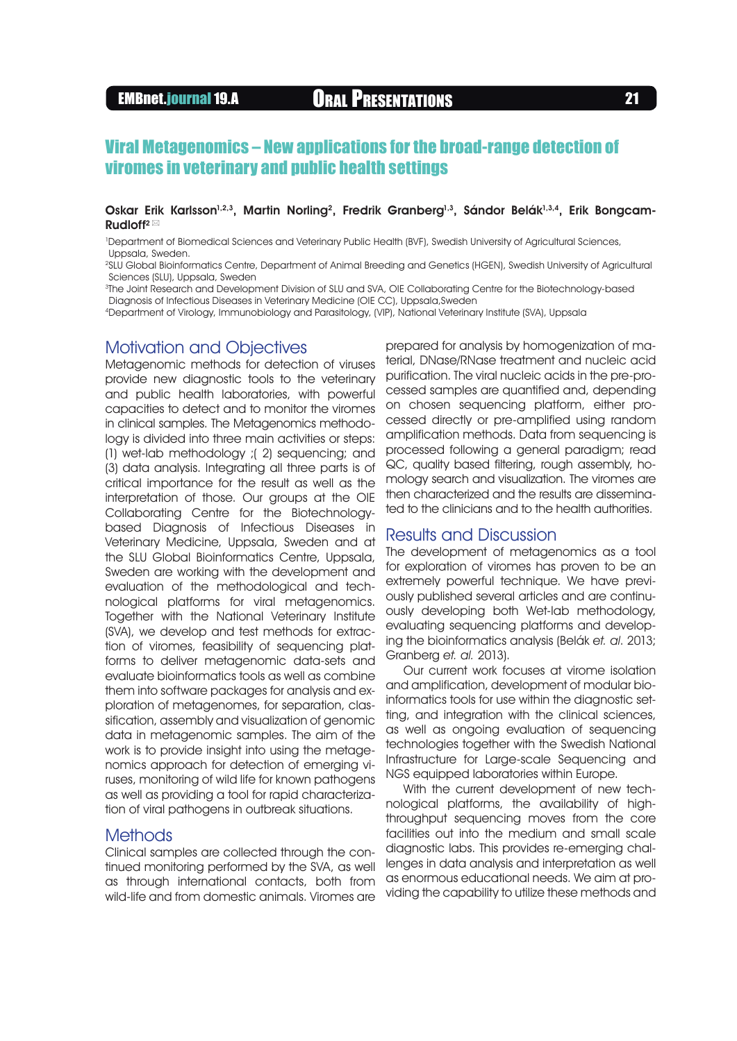### Oskar Erik Karlsson<sup>1,2,3</sup>, Martin Norling<sup>2</sup>, Fredrik Granberg<sup>1,3</sup>, Sándor Belák<sup>1,3,4</sup>, Erik Bongcam-Rudloff<sup>2</sup>

1 Department of Biomedical Sciences and Veterinary Public Health (BVF), Swedish University of Agricultural Sciences, Uppsala, Sweden.

2 SLU Global Bioinformatics Centre, Department of Animal Breeding and Genetics (HGEN), Swedish University of Agricultural Sciences (SLU), Uppsala, Sweden

3 The Joint Research and Development Division of SLU and SVA, OIE Collaborating Centre for the Biotechnology-based Diagnosis of Infectious Diseases in Veterinary Medicine (OIE CC), Uppsala,Sweden

4Department of Virology, Immunobiology and Parasitology, (VIP), National Veterinary Institute (SVA), Uppsala

## Motivation and Objectives

Metagenomic methods for detection of viruses provide new diagnostic tools to the veterinary and public health laboratories, with powerful capacities to detect and to monitor the viromes in clinical samples. The Metagenomics methodology is divided into three main activities or steps: (1) wet-lab methodology ;( 2) sequencing; and (3) data analysis. Integrating all three parts is of critical importance for the result as well as the interpretation of those. Our groups at the OIE Collaborating Centre for the Biotechnologybased Diagnosis of Infectious Diseases in Veterinary Medicine, Uppsala, Sweden and at the SLU Global Bioinformatics Centre, Uppsala, Sweden are working with the development and evaluation of the methodological and technological platforms for viral metagenomics. Together with the National Veterinary Institute (SVA), we develop and test methods for extraction of viromes, feasibility of sequencing platforms to deliver metagenomic data-sets and evaluate bioinformatics tools as well as combine them into software packages for analysis and exploration of metagenomes, for separation, classification, assembly and visualization of genomic data in metagenomic samples. The aim of the work is to provide insight into using the metagenomics approach for detection of emerging viruses, monitoring of wild life for known pathogens as well as providing a tool for rapid characterization of viral pathogens in outbreak situations.

## **Methods**

Clinical samples are collected through the continued monitoring performed by the SVA, as well as through international contacts, both from wild-life and from domestic animals. Viromes are prepared for analysis by homogenization of material, DNase/RNase treatment and nucleic acid purification. The viral nucleic acids in the pre-processed samples are quantified and, depending on chosen sequencing platform, either processed directly or pre-amplified using random amplification methods. Data from sequencing is processed following a general paradigm; read QC, quality based filtering, rough assembly, homology search and visualization. The viromes are then characterized and the results are disseminated to the clinicians and to the health authorities.

# Results and Discussion

The development of metagenomics as a tool for exploration of viromes has proven to be an extremely powerful technique. We have previously published several articles and are continuously developing both Wet-lab methodology, evaluating sequencing platforms and developing the bioinformatics analysis (Belák et. al. 2013; Granberg et. al. 2013).

Our current work focuses at virome isolation and amplification, development of modular bioinformatics tools for use within the diagnostic setting, and integration with the clinical sciences, as well as ongoing evaluation of sequencing technologies together with the Swedish National Infrastructure for Large-scale Sequencing and NGS equipped laboratories within Europe.

With the current development of new technological platforms, the availability of highthroughput sequencing moves from the core facilities out into the medium and small scale diagnostic labs. This provides re-emerging challenges in data analysis and interpretation as well as enormous educational needs. We aim at providing the capability to utilize these methods and